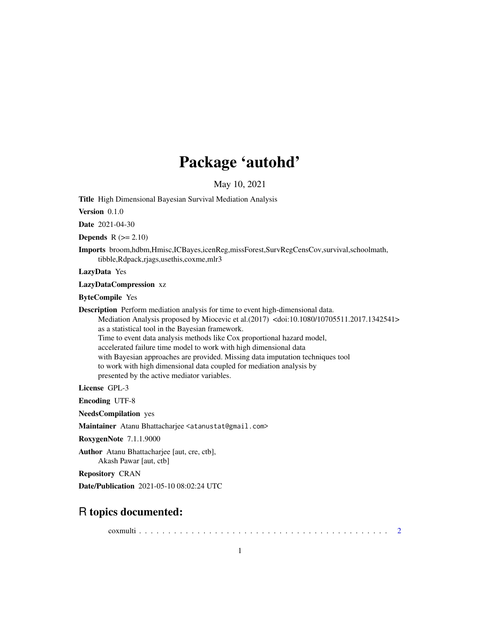## Package 'autohd'

May 10, 2021

Title High Dimensional Bayesian Survival Mediation Analysis

Version 0.1.0

Date 2021-04-30

**Depends**  $R$  ( $>= 2.10$ )

Imports broom,hdbm,Hmisc,ICBayes,icenReg,missForest,SurvRegCensCov,survival,schoolmath, tibble,Rdpack,rjags,usethis,coxme,mlr3

LazyData Yes

LazyDataCompression xz

ByteCompile Yes

Description Perform mediation analysis for time to event high-dimensional data.

Mediation Analysis proposed by Miocevic et al.(2017) <doi:10.1080/10705511.2017.1342541> as a statistical tool in the Bayesian framework. Time to event data analysis methods like Cox proportional hazard model, accelerated failure time model to work with high dimensional data

with Bayesian approaches are provided. Missing data imputation techniques tool

to work with high dimensional data coupled for mediation analysis by

presented by the active mediator variables.

License GPL-3

Encoding UTF-8

NeedsCompilation yes

Maintainer Atanu Bhattacharjee <atanustat@gmail.com>

RoxygenNote 7.1.1.9000

Author Atanu Bhattacharjee [aut, cre, ctb],

Akash Pawar [aut, ctb]

Repository CRAN

Date/Publication 2021-05-10 08:02:24 UTC

### R topics documented:

coxmulti . . . . . . . . . . . . . . . . . . . . . . . . . . . . . . . . . . . . . . . . . . . [2](#page-1-0)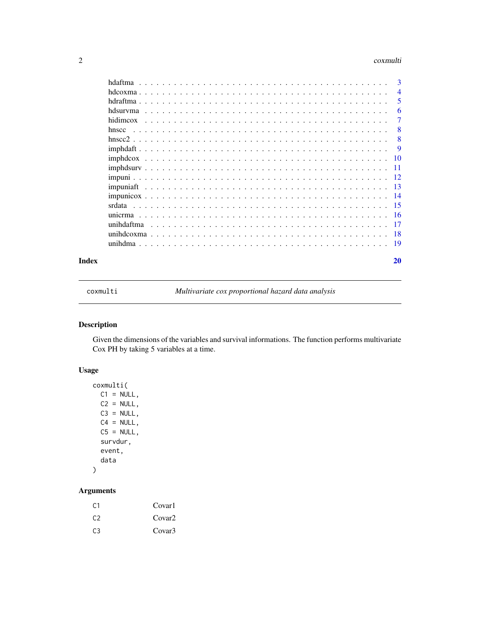#### <span id="page-1-0"></span>2 coxmulti

|       | hdaftma    | -3              |
|-------|------------|-----------------|
|       |            | $\overline{4}$  |
|       |            | 5               |
|       | hdsurvma   | 6               |
|       | hidimcox   | 7               |
|       | hnscc      | 8               |
|       |            | 8               |
|       |            | 9               |
|       |            | $\overline{10}$ |
|       |            |                 |
|       |            |                 |
|       |            |                 |
|       |            |                 |
|       |            | -15             |
|       |            |                 |
|       | unihdaftma | - 17            |
|       |            | -18             |
|       |            | -19             |
| Index |            | 20              |

coxmulti *Multivariate cox proportional hazard data analysis*

#### Description

Given the dimensions of the variables and survival informations. The function performs multivariate Cox PH by taking 5 variables at a time.

#### Usage

```
coxmulti(
 C1 = NULL,C2 = NULL,C3 = NULL,C4 = NULL,C5 = NULL,survdur,
 event,
 data
)
```

| C <sub>1</sub> | Covar1             |
|----------------|--------------------|
| C <sub>2</sub> | Covar <sub>2</sub> |
| C <sub>3</sub> | Covar <sup>3</sup> |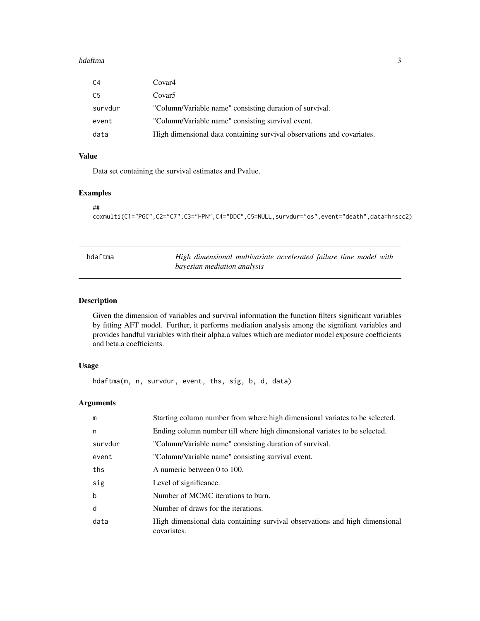#### <span id="page-2-0"></span>hdaftma 3

| C4      | Covar4                                                                 |
|---------|------------------------------------------------------------------------|
| C5      | Covar <sub>5</sub>                                                     |
| survdur | "Column/Variable name" consisting duration of survival.                |
| event   | "Column/Variable name" consisting survival event.                      |
| data    | High dimensional data containing survival observations and covariates. |

#### Value

Data set containing the survival estimates and Pvalue.

#### Examples

```
##
coxmulti(C1="PGC",C2="C7",C3="HPN",C4="DDC",C5=NULL,survdur="os",event="death",data=hnscc2)
```

| hdaftma | High dimensional multivariate accelerated failure time model with |
|---------|-------------------------------------------------------------------|
|         | bayesian mediation analysis                                       |

#### Description

Given the dimension of variables and survival information the function filters significant variables by fitting AFT model. Further, it performs mediation analysis among the signifiant variables and provides handful variables with their alpha.a values which are mediator model exposure coefficients and beta.a coefficients.

#### Usage

hdaftma(m, n, survdur, event, ths, sig, b, d, data)

| m           | Starting column number from where high dimensional variates to be selected.                |
|-------------|--------------------------------------------------------------------------------------------|
| n           | Ending column number till where high dimensional variates to be selected.                  |
| survdur     | "Column/Variable name" consisting duration of survival.                                    |
| event       | "Column/Variable name" consisting survival event.                                          |
| ths         | A numeric between 0 to 100.                                                                |
| sig         | Level of significance.                                                                     |
| $\mathbf b$ | Number of MCMC iterations to burn.                                                         |
| d           | Number of draws for the iterations.                                                        |
| data        | High dimensional data containing survival observations and high dimensional<br>covariates. |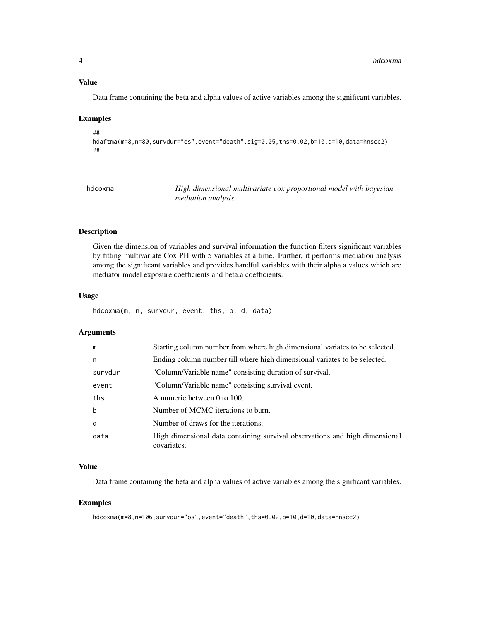#### <span id="page-3-0"></span>Value

Data frame containing the beta and alpha values of active variables among the significant variables.

#### Examples

```
##
hdaftma(m=8,n=80,survdur="os",event="death",sig=0.05,ths=0.02,b=10,d=10,data=hnscc2)
##
```

| hdcoxma | High dimensional multivariate cox proportional model with bayesian |
|---------|--------------------------------------------------------------------|
|         | <i>mediation analysis.</i>                                         |

#### Description

Given the dimension of variables and survival information the function filters significant variables by fitting multivariate Cox PH with 5 variables at a time. Further, it performs mediation analysis among the significant variables and provides handful variables with their alpha.a values which are mediator model exposure coefficients and beta.a coefficients.

#### Usage

hdcoxma(m, n, survdur, event, ths, b, d, data)

#### Arguments

| m           | Starting column number from where high dimensional variates to be selected.                |
|-------------|--------------------------------------------------------------------------------------------|
| n           | Ending column number till where high dimensional variates to be selected.                  |
| survdur     | "Column/Variable name" consisting duration of survival.                                    |
| event       | "Column/Variable name" consisting survival event.                                          |
| ths         | A numeric between 0 to 100.                                                                |
| $\mathbf b$ | Number of MCMC iterations to burn.                                                         |
| d           | Number of draws for the iterations.                                                        |
| data        | High dimensional data containing survival observations and high dimensional<br>covariates. |

#### Value

Data frame containing the beta and alpha values of active variables among the significant variables.

#### Examples

hdcoxma(m=8,n=106,survdur="os",event="death",ths=0.02,b=10,d=10,data=hnscc2)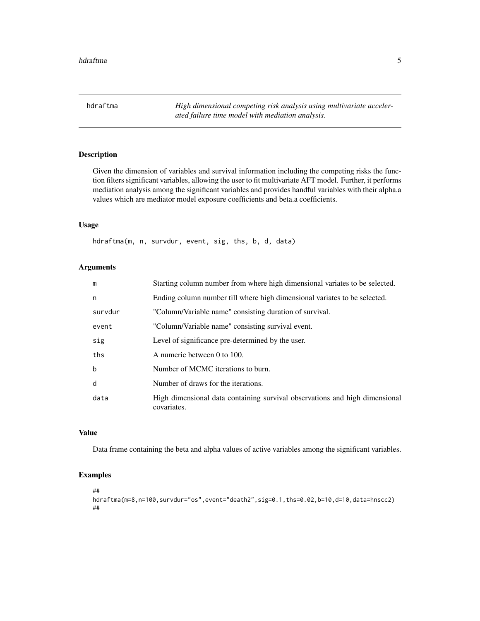<span id="page-4-0"></span>hdraftma *High dimensional competing risk analysis using multivariate accelerated failure time model with mediation analysis.*

#### **Description**

Given the dimension of variables and survival information including the competing risks the function filters significant variables, allowing the user to fit multivariate AFT model. Further, it performs mediation analysis among the significant variables and provides handful variables with their alpha.a values which are mediator model exposure coefficients and beta.a coefficients.

#### Usage

hdraftma(m, n, survdur, event, sig, ths, b, d, data)

#### Arguments

| m           | Starting column number from where high dimensional variates to be selected.                |
|-------------|--------------------------------------------------------------------------------------------|
| n           | Ending column number till where high dimensional variates to be selected.                  |
| survdur     | "Column/Variable name" consisting duration of survival.                                    |
| event       | "Column/Variable name" consisting survival event.                                          |
| sig         | Level of significance pre-determined by the user.                                          |
| ths         | A numeric between 0 to 100.                                                                |
| $\mathbf b$ | Number of MCMC iterations to burn.                                                         |
| d           | Number of draws for the iterations.                                                        |
| data        | High dimensional data containing survival observations and high dimensional<br>covariates. |

#### Value

Data frame containing the beta and alpha values of active variables among the significant variables.

#### Examples

##

```
hdraftma(m=8,n=100,survdur="os",event="death2",sig=0.1,ths=0.02,b=10,d=10,data=hnscc2)
##
```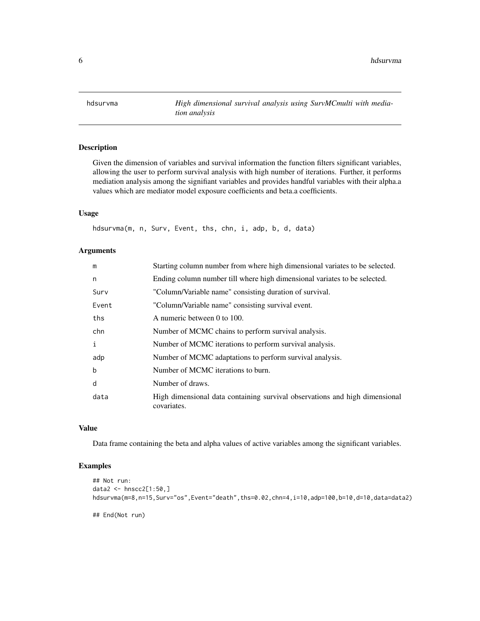<span id="page-5-0"></span>hdsurvma *High dimensional survival analysis using SurvMCmulti with mediation analysis*

#### Description

Given the dimension of variables and survival information the function filters significant variables, allowing the user to perform survival analysis with high number of iterations. Further, it performs mediation analysis among the signifiant variables and provides handful variables with their alpha.a values which are mediator model exposure coefficients and beta.a coefficients.

#### Usage

hdsurvma(m, n, Surv, Event, ths, chn, i, adp, b, d, data)

#### Arguments

| m           | Starting column number from where high dimensional variates to be selected.                |
|-------------|--------------------------------------------------------------------------------------------|
| n           | Ending column number till where high dimensional variates to be selected.                  |
| Surv        | "Column/Variable name" consisting duration of survival.                                    |
| Event       | "Column/Variable name" consisting survival event.                                          |
| ths         | A numeric between 0 to 100.                                                                |
| chn         | Number of MCMC chains to perform survival analysis.                                        |
| i           | Number of MCMC iterations to perform survival analysis.                                    |
| adp         | Number of MCMC adaptations to perform survival analysis.                                   |
| $\mathbf b$ | Number of MCMC iterations to burn.                                                         |
| d           | Number of draws.                                                                           |
| data        | High dimensional data containing survival observations and high dimensional<br>covariates. |

#### Value

Data frame containing the beta and alpha values of active variables among the significant variables.

```
## Not run:
data2 <- hnscc2[1:50,]
hdsurvma(m=8,n=15,Surv="os",Event="death",ths=0.02,chn=4,i=10,adp=100,b=10,d=10,data=data2)
## End(Not run)
```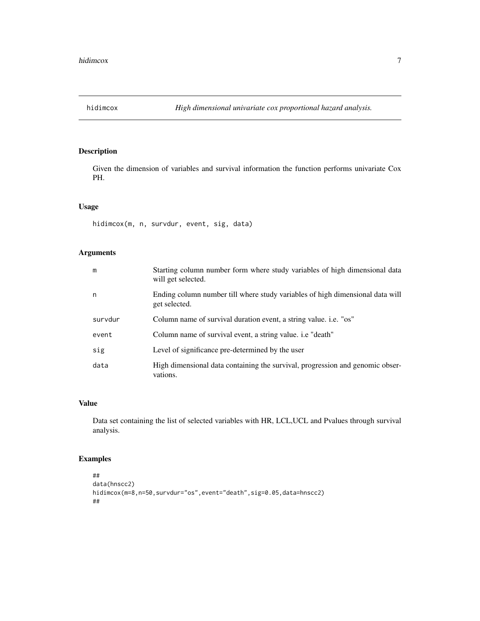<span id="page-6-0"></span>

#### Description

Given the dimension of variables and survival information the function performs univariate Cox PH.

#### Usage

hidimcox(m, n, survdur, event, sig, data)

#### Arguments

| m       | Starting column number form where study variables of high dimensional data<br>will get selected. |
|---------|--------------------------------------------------------------------------------------------------|
| n       | Ending column number till where study variables of high dimensional data will<br>get selected.   |
| survdur | Column name of survival duration event, a string value. i.e. "os"                                |
| event   | Column name of survival event, a string value. i.e "death"                                       |
| sig     | Level of significance pre-determined by the user                                                 |
| data    | High dimensional data containing the survival, progression and genomic obser-<br>vations.        |

#### Value

Data set containing the list of selected variables with HR, LCL,UCL and Pvalues through survival analysis.

```
##
data(hnscc2)
hidimcox(m=8,n=50,survdur="os",event="death",sig=0.05,data=hnscc2)
##
```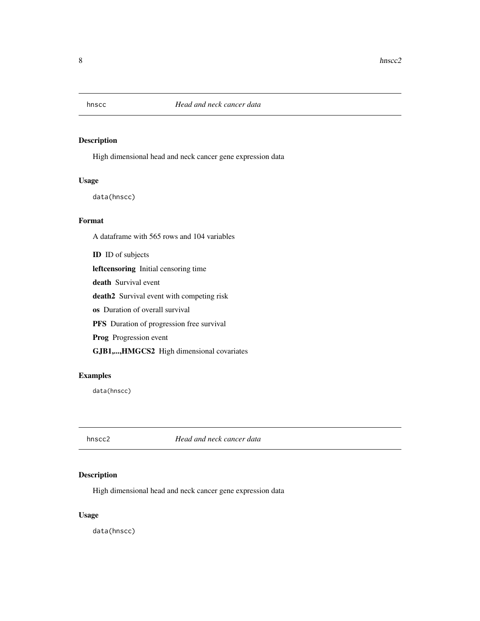<span id="page-7-0"></span>

#### Description

High dimensional head and neck cancer gene expression data

#### Usage

data(hnscc)

#### Format

A dataframe with 565 rows and 104 variables

ID ID of subjects leftcensoring Initial censoring time death Survival event death2 Survival event with competing risk os Duration of overall survival PFS Duration of progression free survival Prog Progression event

GJB1,...,HMGCS2 High dimensional covariates

#### Examples

data(hnscc)

hnscc2 *Head and neck cancer data*

#### Description

High dimensional head and neck cancer gene expression data

#### Usage

data(hnscc)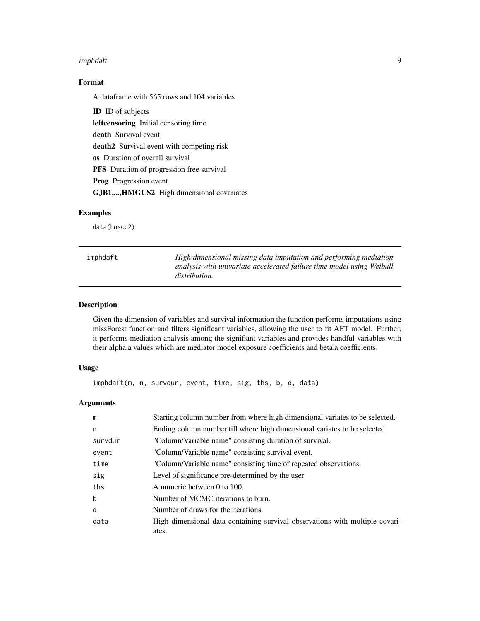#### <span id="page-8-0"></span>imphdaft 9

#### Format

A dataframe with 565 rows and 104 variables

ID ID of subjects leftcensoring Initial censoring time death Survival event death2 Survival event with competing risk os Duration of overall survival PFS Duration of progression free survival Prog Progression event GJB1,...,HMGCS2 High dimensional covariates

#### Examples

data(hnscc2)

| imphdaft | High dimensional missing data imputation and performing mediation                             |
|----------|-----------------------------------------------------------------------------------------------|
|          | analysis with univariate accelerated failure time model using Weibull<br><i>distribution.</i> |
|          |                                                                                               |

#### Description

Given the dimension of variables and survival information the function performs imputations using missForest function and filters significant variables, allowing the user to fit AFT model. Further, it performs mediation analysis among the signifiant variables and provides handful variables with their alpha.a values which are mediator model exposure coefficients and beta.a coefficients.

#### Usage

imphdaft(m, n, survdur, event, time, sig, ths, b, d, data)

| m       | Starting column number from where high dimensional variates to be selected.           |
|---------|---------------------------------------------------------------------------------------|
| n       | Ending column number till where high dimensional variates to be selected.             |
| survdur | "Column/Variable name" consisting duration of survival.                               |
| event   | "Column/Variable name" consisting survival event.                                     |
| time    | "Column/Variable name" consisting time of repeated observations.                      |
| sig     | Level of significance pre-determined by the user                                      |
| ths     | A numeric between 0 to 100.                                                           |
| b       | Number of MCMC iterations to burn.                                                    |
| d       | Number of draws for the iterations.                                                   |
| data    | High dimensional data containing survival observations with multiple covari-<br>ates. |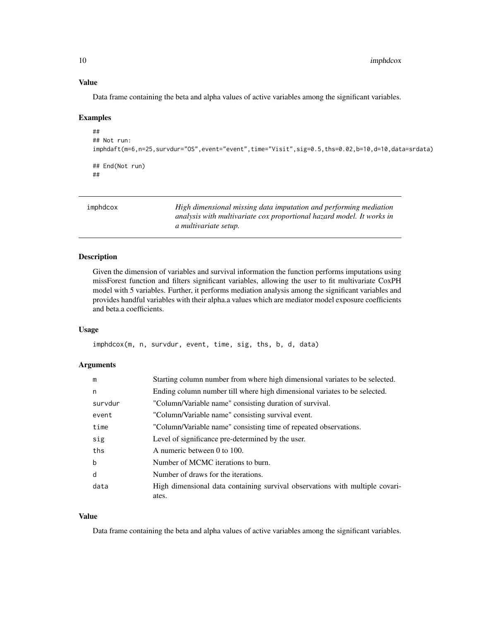#### <span id="page-9-0"></span>Value

Data frame containing the beta and alpha values of active variables among the significant variables.

#### Examples

```
##
## Not run:
imphdaft(m=6,n=25,survdur="OS",event="event",time="Visit",sig=0.5,ths=0.02,b=10,d=10,data=srdata)
## End(Not run)
##
```
imphdcox *High dimensional missing data imputation and performing mediation analysis with multivariate cox proportional hazard model. It works in a multivariate setup.*

#### Description

Given the dimension of variables and survival information the function performs imputations using missForest function and filters significant variables, allowing the user to fit multivariate CoxPH model with 5 variables. Further, it performs mediation analysis among the significant variables and provides handful variables with their alpha.a values which are mediator model exposure coefficients and beta.a coefficients.

#### Usage

imphdcox(m, n, survdur, event, time, sig, ths, b, d, data)

#### Arguments

| m           | Starting column number from where high dimensional variates to be selected.           |
|-------------|---------------------------------------------------------------------------------------|
| n           | Ending column number till where high dimensional variates to be selected.             |
| survdur     | "Column/Variable name" consisting duration of survival.                               |
| event       | "Column/Variable name" consisting survival event.                                     |
| time        | "Column/Variable name" consisting time of repeated observations.                      |
| sig         | Level of significance pre-determined by the user.                                     |
| ths         | A numeric between 0 to 100.                                                           |
| $\mathbf b$ | Number of MCMC iterations to burn.                                                    |
| d           | Number of draws for the iterations.                                                   |
| data        | High dimensional data containing survival observations with multiple covari-<br>ates. |

#### Value

Data frame containing the beta and alpha values of active variables among the significant variables.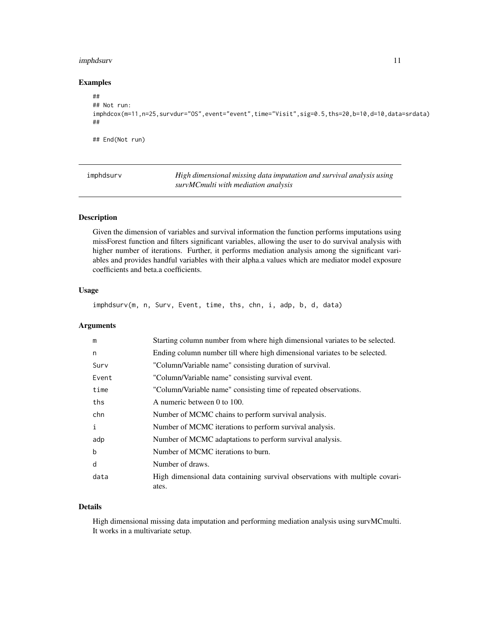#### <span id="page-10-0"></span>imphdsurv 11

#### Examples

```
##
## Not run:
imphdcox(m=11,n=25,survdur="OS",event="event",time="Visit",sig=0.5,ths=20,b=10,d=10,data=srdata)
##
## End(Not run)
```
imphdsurv *High dimensional missing data imputation and survival analysis using survMCmulti with mediation analysis*

#### Description

Given the dimension of variables and survival information the function performs imputations using missForest function and filters significant variables, allowing the user to do survival analysis with higher number of iterations. Further, it performs mediation analysis among the significant variables and provides handful variables with their alpha.a values which are mediator model exposure coefficients and beta.a coefficients.

#### Usage

```
imphdsurv(m, n, Surv, Event, time, ths, chn, i, adp, b, d, data)
```
#### Arguments

| m     | Starting column number from where high dimensional variates to be selected.  |
|-------|------------------------------------------------------------------------------|
| n     | Ending column number till where high dimensional variates to be selected.    |
| Surv  | "Column/Variable name" consisting duration of survival.                      |
| Event | "Column/Variable name" consisting survival event.                            |
| time  | "Column/Variable name" consisting time of repeated observations.             |
| ths   | A numeric between 0 to 100.                                                  |
| chn   | Number of MCMC chains to perform survival analysis.                          |
| i     | Number of MCMC iterations to perform survival analysis.                      |
| adp   | Number of MCMC adaptations to perform survival analysis.                     |
| b     | Number of MCMC iterations to burn.                                           |
| d     | Number of draws.                                                             |
| data  | High dimensional data containing survival observations with multiple covari- |
|       | ates.                                                                        |

#### Details

High dimensional missing data imputation and performing mediation analysis using survMCmulti. It works in a multivariate setup.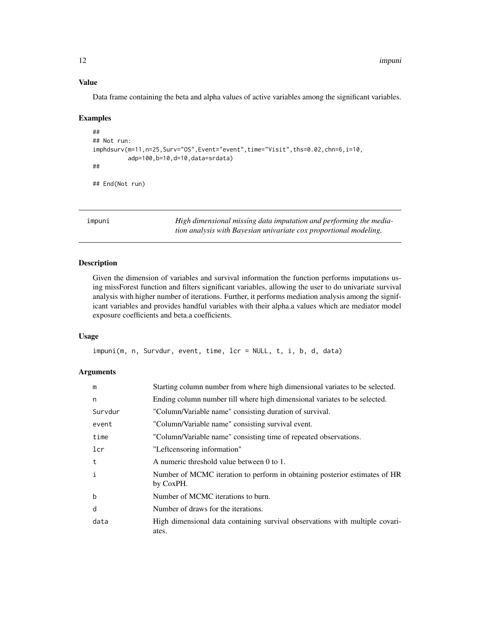#### Value

Data frame containing the beta and alpha values of active variables among the significant variables.

#### Examples

```
##
## Not run:
imphdsurv(m=11,n=25,Surv="OS",Event="event",time="Visit",ths=0.02,chn=6,i=10,
          adp=100,b=10,d=10,data=srdata)
##
## End(Not run)
```
impuni *High dimensional missing data imputation and performing the mediation analysis with Bayesian univariate cox proportional modeling.*

#### Description

Given the dimension of variables and survival information the function performs imputations using missForest function and filters significant variables, allowing the user to do univariate survival analysis with higher number of iterations. Further, it performs mediation analysis among the significant variables and provides handful variables with their alpha.a values which are mediator model exposure coefficients and beta.a coefficients.

#### Usage

```
impuni(m, n, Survdur, event, time, lcr = NULL, t, i, b, d, data)
```

| m            | Starting column number from where high dimensional variates to be selected.             |
|--------------|-----------------------------------------------------------------------------------------|
| n            | Ending column number till where high dimensional variates to be selected.               |
| Survdur      | "Column/Variable name" consisting duration of survival.                                 |
| event        | "Column/Variable name" consisting survival event.                                       |
| time         | "Column/Variable name" consisting time of repeated observations.                        |
| lcr          | "Leftcensoring information"                                                             |
| t            | A numeric threshold value between 0 to 1.                                               |
| $\mathbf{i}$ | Number of MCMC iteration to perform in obtaining posterior estimates of HR<br>by CoxPH. |
| b            | Number of MCMC iterations to burn.                                                      |
| d            | Number of draws for the iterations.                                                     |
| data         | High dimensional data containing survival observations with multiple covari-<br>ates.   |

<span id="page-11-0"></span>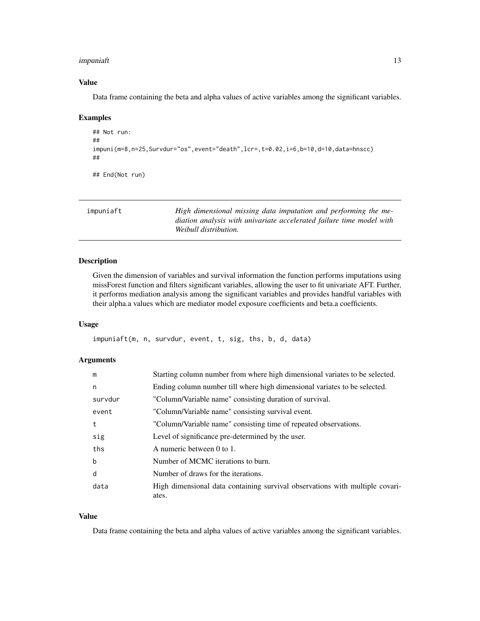#### <span id="page-12-0"></span>impuniaft 13

#### Value

Data frame containing the beta and alpha values of active variables among the significant variables.

#### Examples

```
## Not run:
##
impuni(m=8,n=25,Survdur="os",event="death",lcr=,t=0.02,i=6,b=10,d=10,data=hnscc)
##
## End(Not run)
```

| impuniaft | High dimensional missing data imputation and performing the me-      |
|-----------|----------------------------------------------------------------------|
|           | diation analysis with univariate accelerated failure time model with |
|           | Weibull distribution.                                                |

#### Description

Given the dimension of variables and survival information the function performs imputations using missForest function and filters significant variables, allowing the user to fit univariate AFT. Further, it performs mediation analysis among the significant variables and provides handful variables with their alpha.a values which are mediator model exposure coefficients and beta.a coefficients.

#### Usage

impuniaft(m, n, survdur, event, t, sig, ths, b, d, data)

#### Arguments

| m           | Starting column number from where high dimensional variates to be selected.           |
|-------------|---------------------------------------------------------------------------------------|
| n           | Ending column number till where high dimensional variates to be selected.             |
| survdur     | "Column/Variable name" consisting duration of survival.                               |
| event       | "Column/Variable name" consisting survival event.                                     |
| t           | "Column/Variable name" consisting time of repeated observations.                      |
| sig         | Level of significance pre-determined by the user.                                     |
| ths         | A numeric between 0 to 1.                                                             |
| $\mathbf b$ | Number of MCMC iterations to burn.                                                    |
| d           | Number of draws for the iterations.                                                   |
| data        | High dimensional data containing survival observations with multiple covari-<br>ates. |

#### Value

Data frame containing the beta and alpha values of active variables among the significant variables.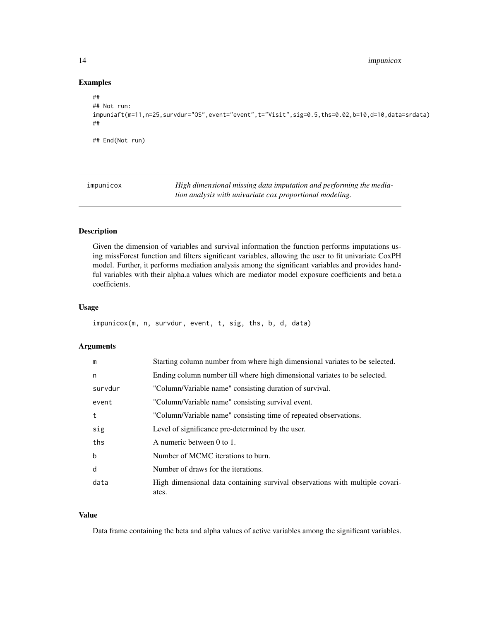#### Examples

```
##
## Not run:
impuniaft(m=11,n=25,survdur="OS",event="event",t="Visit",sig=0.5,ths=0.02,b=10,d=10,data=srdata)
##
## End(Not run)
```
impunicox *High dimensional missing data imputation and performing the mediation analysis with univariate cox proportional modeling.*

#### Description

Given the dimension of variables and survival information the function performs imputations using missForest function and filters significant variables, allowing the user to fit univariate CoxPH model. Further, it performs mediation analysis among the significant variables and provides handful variables with their alpha.a values which are mediator model exposure coefficients and beta.a coefficients.

#### Usage

```
impunicox(m, n, survdur, event, t, sig, ths, b, d, data)
```
#### Arguments

| m       | Starting column number from where high dimensional variates to be selected.           |
|---------|---------------------------------------------------------------------------------------|
| n       | Ending column number till where high dimensional variates to be selected.             |
| survdur | "Column/Variable name" consisting duration of survival.                               |
| event   | "Column/Variable name" consisting survival event.                                     |
| t       | "Column/Variable name" consisting time of repeated observations.                      |
| sig     | Level of significance pre-determined by the user.                                     |
| ths     | A numeric between 0 to 1.                                                             |
| b       | Number of MCMC iterations to burn.                                                    |
| d       | Number of draws for the iterations.                                                   |
| data    | High dimensional data containing survival observations with multiple covari-<br>ates. |

#### Value

Data frame containing the beta and alpha values of active variables among the significant variables.

<span id="page-13-0"></span>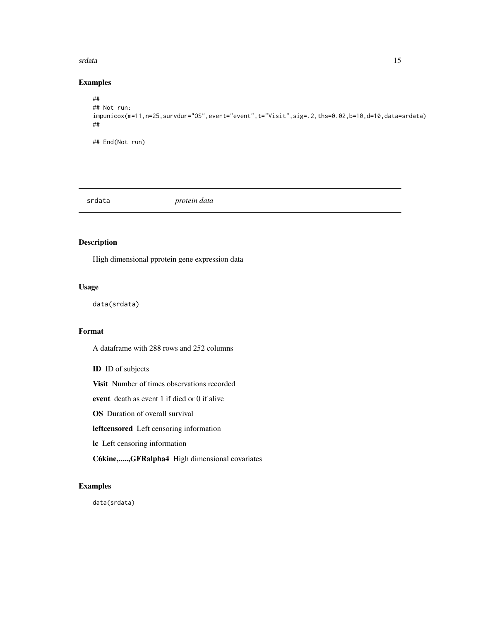#### <span id="page-14-0"></span>srdata and the state of the state of the state of the state of the state of the state of the state of the state of the state of the state of the state of the state of the state of the state of the state of the state of the

#### Examples

```
##
## Not run:
impunicox(m=11,n=25,survdur="OS",event="event",t="Visit",sig=.2,ths=0.02,b=10,d=10,data=srdata)
##
## End(Not run)
```
srdata *protein data*

#### Description

High dimensional pprotein gene expression data

#### Usage

data(srdata)

#### Format

A dataframe with 288 rows and 252 columns

ID ID of subjects

Visit Number of times observations recorded

event death as event 1 if died or 0 if alive

OS Duration of overall survival

leftcensored Left censoring information

lc Left censoring information

C6kine,.....,GFRalpha4 High dimensional covariates

#### Examples

data(srdata)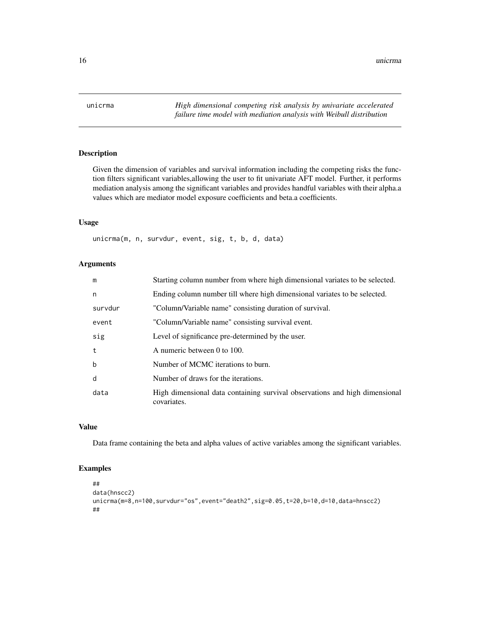<span id="page-15-0"></span>unicrma *High dimensional competing risk analysis by univariate accelerated failure time model with mediation analysis with Weibull distribution*

#### Description

Given the dimension of variables and survival information including the competing risks the function filters significant variables,allowing the user to fit univariate AFT model. Further, it performs mediation analysis among the significant variables and provides handful variables with their alpha.a values which are mediator model exposure coefficients and beta.a coefficients.

#### Usage

unicrma(m, n, survdur, event, sig, t, b, d, data)

#### Arguments

| m           | Starting column number from where high dimensional variates to be selected.                |
|-------------|--------------------------------------------------------------------------------------------|
| n           | Ending column number till where high dimensional variates to be selected.                  |
| survdur     | "Column/Variable name" consisting duration of survival.                                    |
| event       | "Column/Variable name" consisting survival event.                                          |
| sig         | Level of significance pre-determined by the user.                                          |
| t           | A numeric between 0 to 100.                                                                |
| $\mathbf b$ | Number of MCMC iterations to burn.                                                         |
| d           | Number of draws for the iterations.                                                        |
| data        | High dimensional data containing survival observations and high dimensional<br>covariates. |

#### Value

Data frame containing the beta and alpha values of active variables among the significant variables.

```
##
data(hnscc2)
unicrma(m=8,n=100,survdur="os",event="death2",sig=0.05,t=20,b=10,d=10,data=hnscc2)
##
```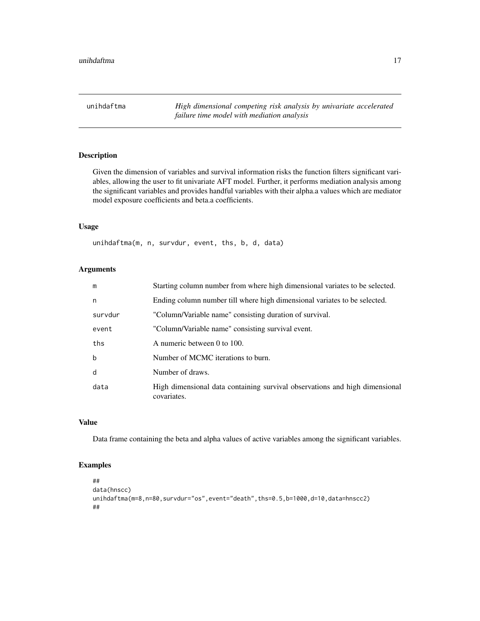<span id="page-16-0"></span>unihdaftma *High dimensional competing risk analysis by univariate accelerated failure time model with mediation analysis*

#### Description

Given the dimension of variables and survival information risks the function filters significant variables, allowing the user to fit univariate AFT model. Further, it performs mediation analysis among the significant variables and provides handful variables with their alpha.a values which are mediator model exposure coefficients and beta.a coefficients.

#### Usage

unihdaftma(m, n, survdur, event, ths, b, d, data)

#### Arguments

| m           | Starting column number from where high dimensional variates to be selected.                |
|-------------|--------------------------------------------------------------------------------------------|
| n           | Ending column number till where high dimensional variates to be selected.                  |
| survdur     | "Column/Variable name" consisting duration of survival.                                    |
| event       | "Column/Variable name" consisting survival event.                                          |
| ths         | A numeric between 0 to 100.                                                                |
| $\mathbf b$ | Number of MCMC iterations to burn.                                                         |
| d           | Number of draws.                                                                           |
| data        | High dimensional data containing survival observations and high dimensional<br>covariates. |

#### Value

Data frame containing the beta and alpha values of active variables among the significant variables.

```
##
data(hnscc)
unihdaftma(m=8,n=80,survdur="os",event="death",ths=0.5,b=1000,d=10,data=hnscc2)
##
```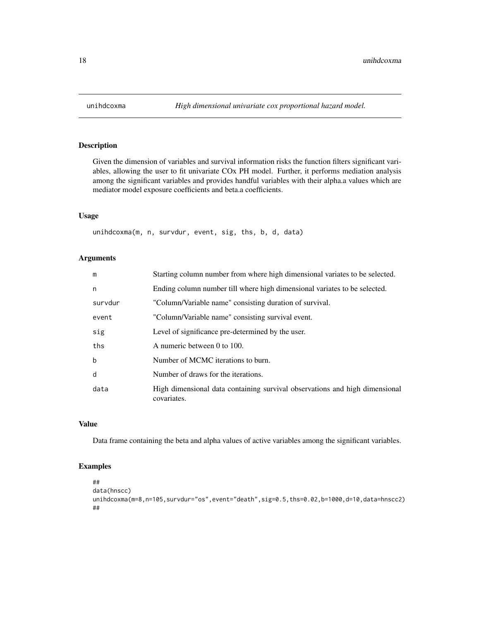<span id="page-17-0"></span>

#### Description

Given the dimension of variables and survival information risks the function filters significant variables, allowing the user to fit univariate COx PH model. Further, it performs mediation analysis among the significant variables and provides handful variables with their alpha.a values which are mediator model exposure coefficients and beta.a coefficients.

#### Usage

unihdcoxma(m, n, survdur, event, sig, ths, b, d, data)

#### Arguments

| m       | Starting column number from where high dimensional variates to be selected.                |
|---------|--------------------------------------------------------------------------------------------|
| n       | Ending column number till where high dimensional variates to be selected.                  |
| survdur | "Column/Variable name" consisting duration of survival.                                    |
| event   | "Column/Variable name" consisting survival event.                                          |
| sig     | Level of significance pre-determined by the user.                                          |
| ths     | A numeric between 0 to 100.                                                                |
| b       | Number of MCMC iterations to burn.                                                         |
| d       | Number of draws for the iterations.                                                        |
| data    | High dimensional data containing survival observations and high dimensional<br>covariates. |

#### Value

Data frame containing the beta and alpha values of active variables among the significant variables.

```
##
data(hnscc)
unihdcoxma(m=8,n=105,survdur="os",event="death",sig=0.5,ths=0.02,b=1000,d=10,data=hnscc2)
##
```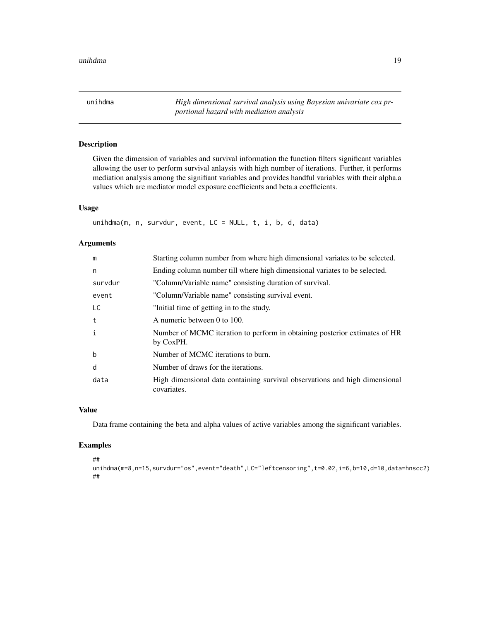<span id="page-18-0"></span>unihdma *High dimensional survival analysis using Bayesian univariate cox prportional hazard with mediation analysis*

#### Description

Given the dimension of variables and survival information the function filters significant variables allowing the user to perform survival anlaysis with high number of iterations. Further, it performs mediation analysis among the signifiant variables and provides handful variables with their alpha.a values which are mediator model exposure coefficients and beta.a coefficients.

#### Usage

```
unihdma(m, n, survdur, event, LC = NULL, t, i, b, d, data)
```
#### Arguments

| m            | Starting column number from where high dimensional variates to be selected.                |
|--------------|--------------------------------------------------------------------------------------------|
| n            | Ending column number till where high dimensional variates to be selected.                  |
| survdur      | "Column/Variable name" consisting duration of survival.                                    |
| event        | "Column/Variable name" consisting survival event.                                          |
| LC           | "Initial time of getting in to the study.                                                  |
| t            | A numeric between 0 to 100.                                                                |
| $\mathbf{i}$ | Number of MCMC iteration to perform in obtaining posterior extimates of HR<br>by CoxPH.    |
| $\mathbf b$  | Number of MCMC iterations to burn.                                                         |
| d            | Number of draws for the iterations.                                                        |
| data         | High dimensional data containing survival observations and high dimensional<br>covariates. |

#### Value

Data frame containing the beta and alpha values of active variables among the significant variables.

```
##
unihdma(m=8,n=15,survdur="os",event="death",LC="leftcensoring",t=0.02,i=6,b=10,d=10,data=hnscc2)
##
```